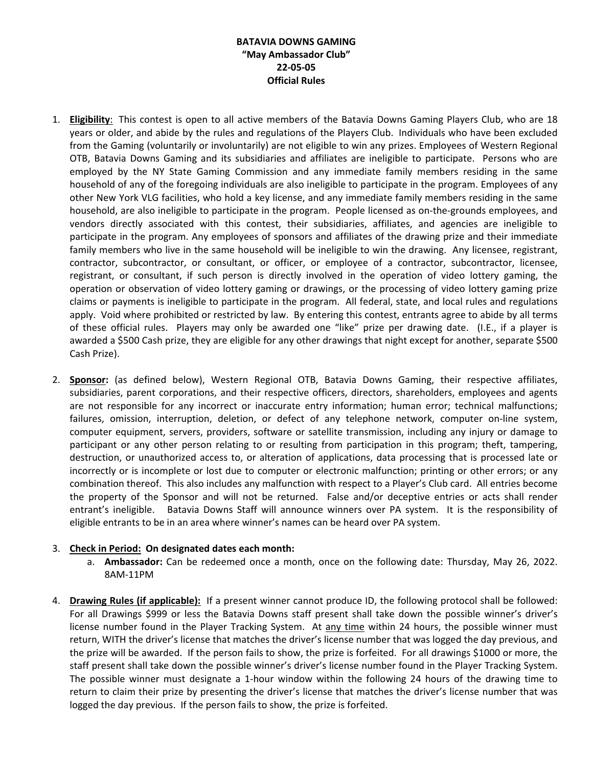## **BATAVIA DOWNS GAMING "May Ambassador Club" 22-05-05 Official Rules**

- 1. **Eligibility**: This contest is open to all active members of the Batavia Downs Gaming Players Club, who are 18 years or older, and abide by the rules and regulations of the Players Club. Individuals who have been excluded from the Gaming (voluntarily or involuntarily) are not eligible to win any prizes. Employees of Western Regional OTB, Batavia Downs Gaming and its subsidiaries and affiliates are ineligible to participate. Persons who are employed by the NY State Gaming Commission and any immediate family members residing in the same household of any of the foregoing individuals are also ineligible to participate in the program. Employees of any other New York VLG facilities, who hold a key license, and any immediate family members residing in the same household, are also ineligible to participate in the program. People licensed as on-the-grounds employees, and vendors directly associated with this contest, their subsidiaries, affiliates, and agencies are ineligible to participate in the program. Any employees of sponsors and affiliates of the drawing prize and their immediate family members who live in the same household will be ineligible to win the drawing. Any licensee, registrant, contractor, subcontractor, or consultant, or officer, or employee of a contractor, subcontractor, licensee, registrant, or consultant, if such person is directly involved in the operation of video lottery gaming, the operation or observation of video lottery gaming or drawings, or the processing of video lottery gaming prize claims or payments is ineligible to participate in the program. All federal, state, and local rules and regulations apply. Void where prohibited or restricted by law. By entering this contest, entrants agree to abide by all terms of these official rules. Players may only be awarded one "like" prize per drawing date. (I.E., if a player is awarded a \$500 Cash prize, they are eligible for any other drawings that night except for another, separate \$500 Cash Prize).
- 2. **Sponsor:** (as defined below), Western Regional OTB, Batavia Downs Gaming, their respective affiliates, subsidiaries, parent corporations, and their respective officers, directors, shareholders, employees and agents are not responsible for any incorrect or inaccurate entry information; human error; technical malfunctions; failures, omission, interruption, deletion, or defect of any telephone network, computer on-line system, computer equipment, servers, providers, software or satellite transmission, including any injury or damage to participant or any other person relating to or resulting from participation in this program; theft, tampering, destruction, or unauthorized access to, or alteration of applications, data processing that is processed late or incorrectly or is incomplete or lost due to computer or electronic malfunction; printing or other errors; or any combination thereof. This also includes any malfunction with respect to a Player's Club card. All entries become the property of the Sponsor and will not be returned. False and/or deceptive entries or acts shall render entrant's ineligible. Batavia Downs Staff will announce winners over PA system. It is the responsibility of eligible entrants to be in an area where winner's names can be heard over PA system.

## 3. **Check in Period: On designated dates each month:**

- a. **Ambassador:** Can be redeemed once a month, once on the following date: Thursday, May 26, 2022. 8AM-11PM
- 4. **Drawing Rules (if applicable):** If a present winner cannot produce ID, the following protocol shall be followed: For all Drawings \$999 or less the Batavia Downs staff present shall take down the possible winner's driver's license number found in the Player Tracking System. At any time within 24 hours, the possible winner must return, WITH the driver's license that matches the driver's license number that was logged the day previous, and the prize will be awarded. If the person fails to show, the prize is forfeited. For all drawings \$1000 or more, the staff present shall take down the possible winner's driver's license number found in the Player Tracking System. The possible winner must designate a 1-hour window within the following 24 hours of the drawing time to return to claim their prize by presenting the driver's license that matches the driver's license number that was logged the day previous. If the person fails to show, the prize is forfeited.